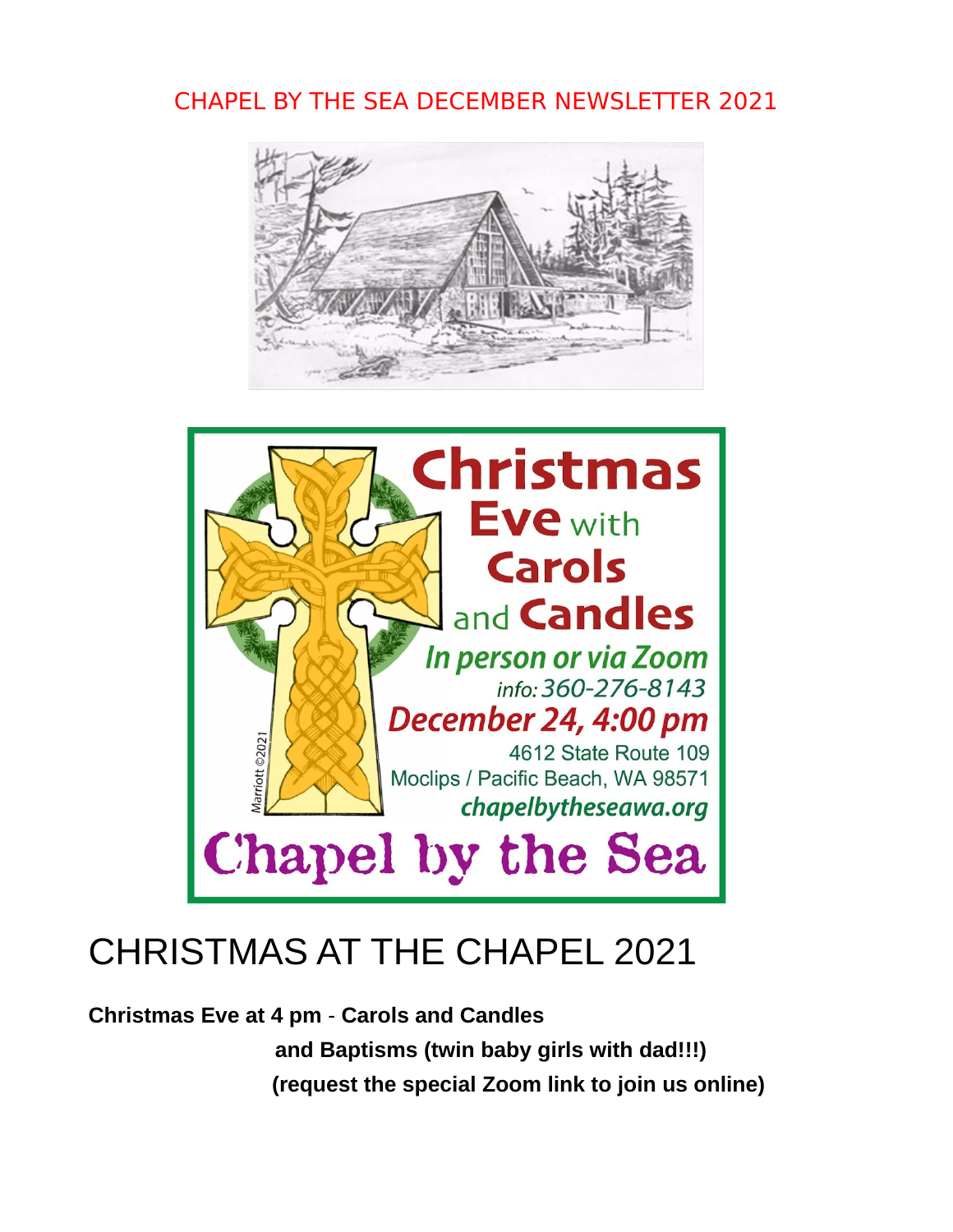## CHAPEL BY THE SEA DECEMBER NEWSLETTER 2021





# CHRISTMAS AT THE CHAPEL 2021

**Christmas Eve at 4 pm** - **Carols and Candles and Baptisms (twin baby girls with dad!!!) (request the special Zoom link to join us online)**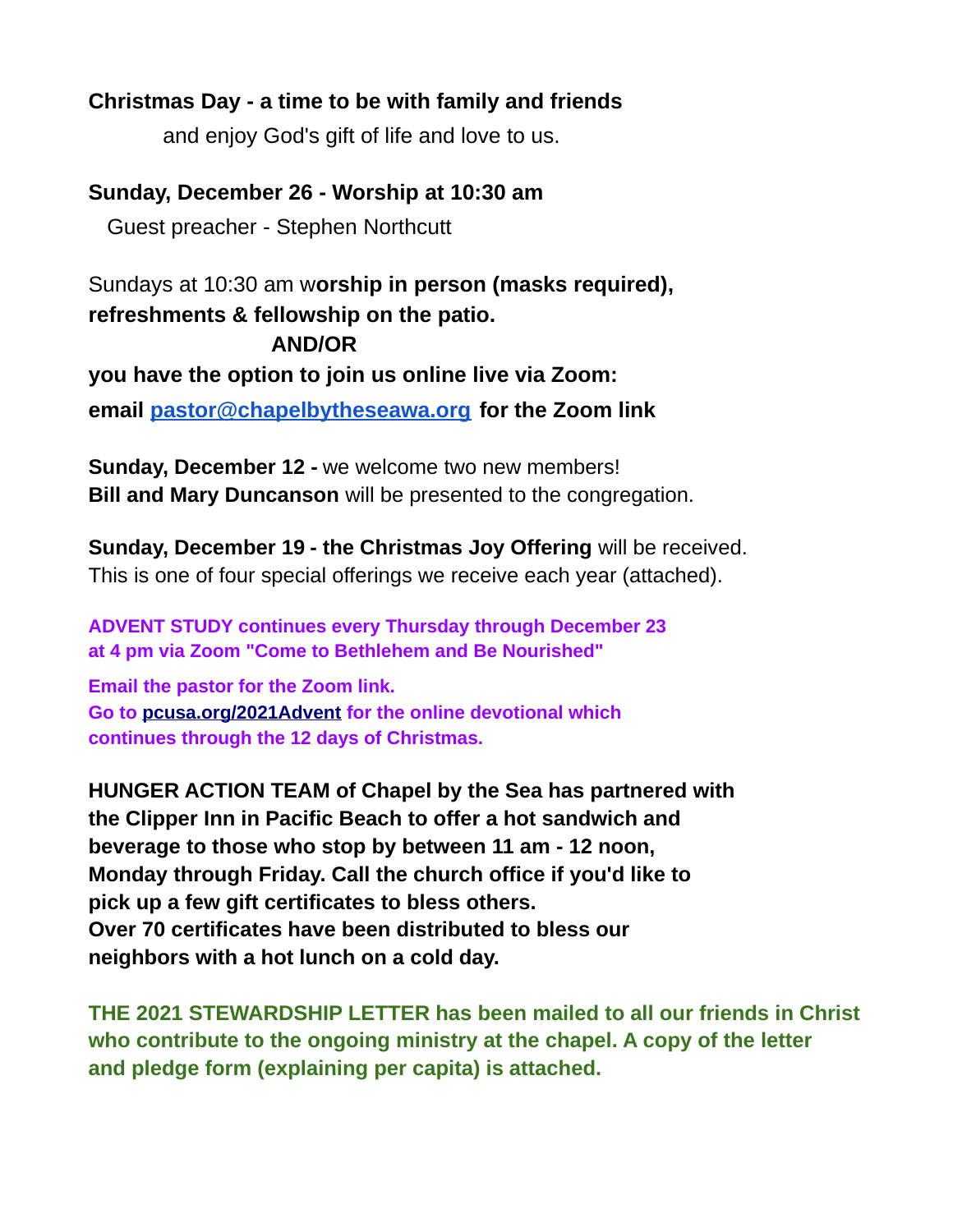#### **Christmas Day - a time to be with family and friends**

and enjoy God's gift of life and love to us.

**Sunday, December 26 - Worship at 10:30 am**

Guest preacher - Stephen Northcutt

Sundays at 10:30 am w**orship in person (masks required), refreshments & fellowship on the patio. AND/OR you have the option to join us online live via Zoom: email [pastor@chapelbytheseawa.org](mailto:pastor@chapelbytheseawa.org) for the Zoom link**

**Sunday, December 12 -** we welcome two new members! **Bill and Mary Duncanson** will be presented to the congregation.

**Sunday, December 19 - the Christmas Joy Offering** will be received. This is one of four special offerings we receive each year (attached).

**ADVENT STUDY continues every Thursday through December 23 at 4 pm via Zoom "Come to Bethlehem and Be Nourished"**

**Email the pastor for the Zoom link. Go to [pcusa.org/2021Advent](http://pcusa.org/2021Advent) for the online devotional which continues through the 12 days of Christmas.**

**HUNGER ACTION TEAM of Chapel by the Sea has partnered with the Clipper Inn in Pacific Beach to offer a hot sandwich and beverage to those who stop by between 11 am - 12 noon, Monday through Friday. Call the church office if you'd like to pick up a few gift certificates to bless others. Over 70 certificates have been distributed to bless our neighbors with a hot lunch on a cold day.** 

**THE 2021 STEWARDSHIP LETTER has been mailed to all our friends in Christ who contribute to the ongoing ministry at the chapel. A copy of the letter and pledge form (explaining per capita) is attached.**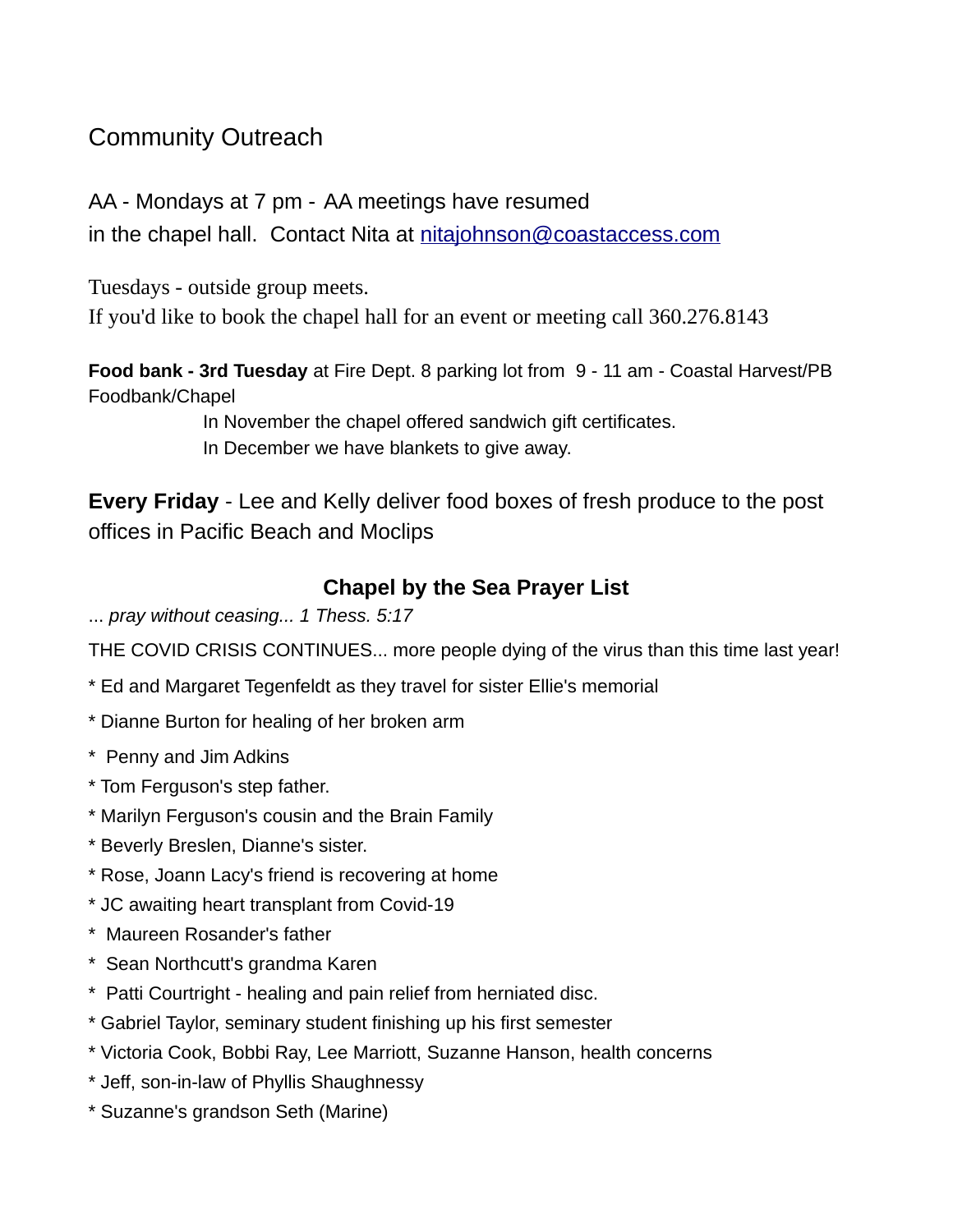### Community Outreach

AA - Mondays at 7 pm - AA meetings have resumed in the chapel hall. Contact Nita at [nitajohnson@coastaccess.com](mailto:nitajohnson@coastaccess.com)

Tuesdays - outside group meets.

If you'd like to book the chapel hall for an event or meeting call 360.276.8143

**Food bank - 3rd Tuesday** at Fire Dept. 8 parking lot from 9 - 11 am - Coastal Harvest/PB Foodbank/Chapel

> In November the chapel offered sandwich gift certificates. In December we have blankets to give away.

**Every Friday** - Lee and Kelly deliver food boxes of fresh produce to the post offices in Pacific Beach and Moclips

### **Chapel by the Sea Prayer List**

... *pray without ceasing... 1 Thess. 5:17* 

THE COVID CRISIS CONTINUES... more people dying of the virus than this time last year!

- \* Ed and Margaret Tegenfeldt as they travel for sister Ellie's memorial
- \* Dianne Burton for healing of her broken arm
- \* Penny and Jim Adkins
- \* Tom Ferguson's step father.
- \* Marilyn Ferguson's cousin and the Brain Family
- \* Beverly Breslen, Dianne's sister.
- \* Rose, Joann Lacy's friend is recovering at home
- \* JC awaiting heart transplant from Covid-19
- \* Maureen Rosander's father
- \* Sean Northcutt's grandma Karen
- \* Patti Courtright healing and pain relief from herniated disc.
- \* Gabriel Taylor, seminary student finishing up his first semester
- \* Victoria Cook, Bobbi Ray, Lee Marriott, Suzanne Hanson, health concerns
- \* Jeff, son-in-law of Phyllis Shaughnessy
- \* Suzanne's grandson Seth (Marine)